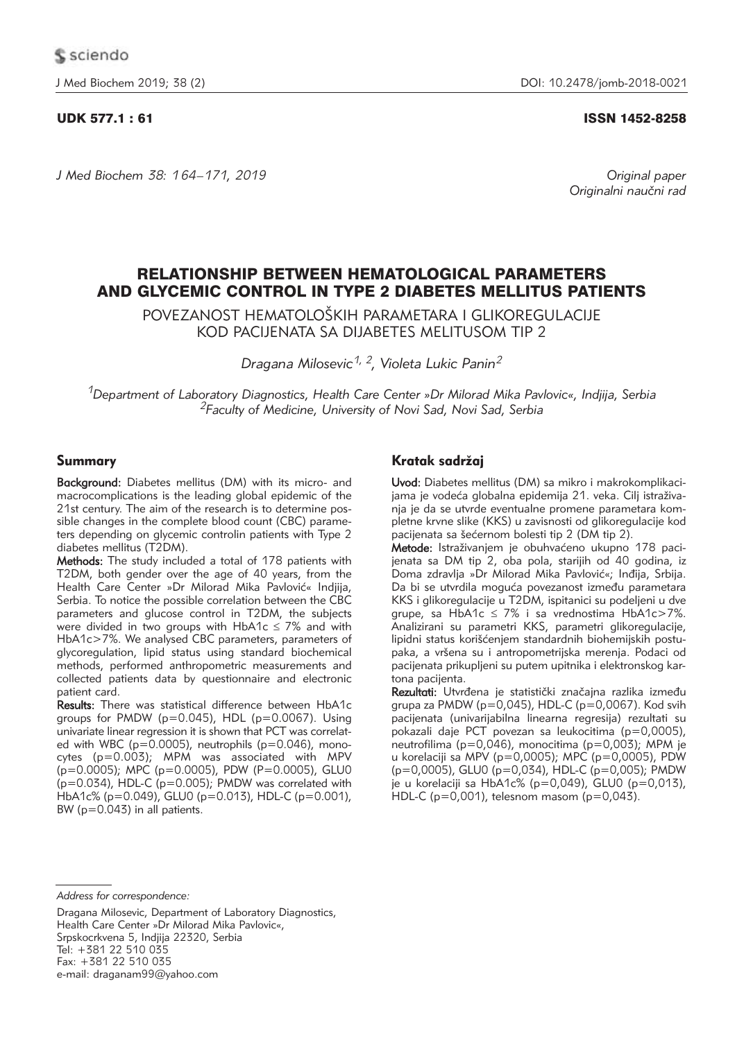*J Med Biochem 38: 164–171, 2019 Original paper*

# UDK 577.1 : 61 ISSN 1452-8258

Originalni naučni rad

# RELATIONSHIP BETWEEN HEMATOLOGICAL PARAMETERS AND GLYCEMIC CONTROL IN TYPE 2 DIABETES MELLITUS PATIENTS

POVEZANOST HEMATOLOŠKIH PARAMETARA I GLIKOREGULACIJE KOD PACIJENATA SA DIJABETES MELITUSOM TIP 2

*Dragana Milosevic1, 2, Violeta Lukic Panin2*

*1Department of Laboratory Diagnostics, Health Care Center »Dr Milorad Mika Pavlovic«, Indjija, Serbia 2Faculty of Medicine, University of Novi Sad, Novi Sad, Serbia*

# Summary

Background: Diabetes mellitus (DM) with its micro- and macrocomplications is the leading global epidemic of the 21st century. The aim of the research is to determine possible changes in the complete blood count (CBC) parameters depending on glycemic controlin patients with Type 2 diabetes mellitus (T2DM).

Methods: The study included a total of 178 patients with T2DM, both gender over the age of 40 years, from the Health Care Center »Dr Milorad Mika Pavlović« Indjija, Serbia. To notice the possible correlation between the CBC parameters and glucose control in T2DM, the subjects were divided in two groups with  $HbA1c \le 7%$  and with HbA1c>7%. We analysed CBC parameters, parameters of glycoregulation, lipid status using standard biochemical methods, performed anthropometric measurements and collected patients data by questionnaire and electronic patient card.

Results: There was statistical difference between HbA1c groups for PMDW ( $p=0.045$ ), HDL ( $p=0.0067$ ). Using univariate linear regression it is shown that PCT was correlated with WBC ( $p=0.0005$ ), neutrophils ( $p=0.046$ ), monocytes (p=0.003); MPM was associated with MPV (p=0.0005); MPC (p=0.0005), PDW (P=0.0005), GLU0  $(p=0.034)$ , HDL-C ( $p=0.005$ ); PMDW was correlated with  $HbA1c\%$  (p=0.049), GLU0 (p=0.013), HDL-C (p=0.001), BW (p=0.043) in all patients.

# Kratak sadržaj

Uvod: Diabetes mellitus (DM) sa mikro i makrokomplikacijama je vodeća globalna epidemija 21. veka. Cilj istraživanja je da se utvrde eventualne promene parametara kompletne krvne slike (KKS) u zavisnosti od glikoregulacije kod pacijenata sa šećernom bolesti tip 2 (DM tip 2).

Metode: Istraživanjem je obuhvaćeno ukupno 178 pacijenata sa DM tip 2, oba pola, starijih od 40 godina, iz Doma zdravlja »Dr Milorad Mika Pavlović«; Inđija, Srbija. Da bi se utvrdila moguća povezanost između parametara KKS i glikoregulacije u T2DM, ispitanici su podeljeni u dve grupe, sa HbA1c  $\leq$  7% i sa vrednostima HbA1c>7%. Analizirani su parametri KKS, parametri glikoregulacije, lipidni status korišćenjem standardnih biohemijskih postupaka, a vršena su i antropometrijska merenja. Podaci od pacijenata prikupljeni su putem upitnika i elektronskog kartona pacijenta.

Rezultati: Utvrđena je statistički značajna razlika između grupa za PMDW (p=0,045), HDL-C (p=0,0067). Kod svih pacijenata (univarijabilna linearna regresija) rezultati su pokazali daje PCT povezan sa leukocitima (p=0,0005), neutrofilima (p=0,046), monocitima (p=0,003); MPM je u korelaciji sa MPV (p=0,0005); MPC (p=0,0005), PDW (p=0,0005), GLU0 (p=0,034), HDL-C (p=0,005); PMDW je u korelaciji sa HbA1c% (p=0,049), GLU0 (p=0,013),  $HDL-C$  (p=0,001), telesnom masom (p=0,043).

*Address for correspondence:*

Dragana Milosevic, Department of Laboratory Diagnostics, Health Care Center »Dr Milorad Mika Pavlovic«, Srpskocrkvena 5, Indjija 22320, Serbia Tel: +381 22 510 035 Fax: +381 22 510 035

e-mail: draganam99@yahoo.com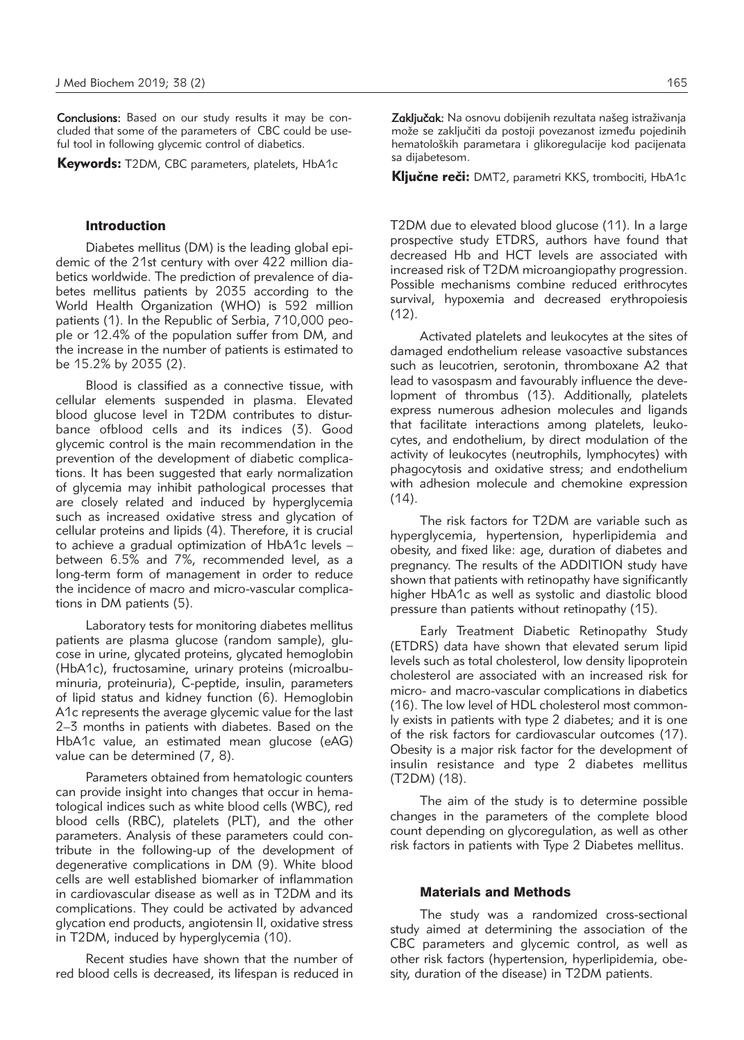Conclusions: Based on our study results it may be concluded that some of the parameters of CBC could be useful tool in following glycemic control of diabetics.

Keywords: T2DM, CBC parameters, platelets, HbA1c

#### Introduction

Diabetes mellitus (DM) is the leading global epidemic of the 21st century with over 422 million diabetics worldwide. The prediction of prevalence of diabetes mellitus patients by 2035 according to the World Health Organization (WHO) is 592 million patients (1). In the Republic of Serbia, 710,000 people or 12.4% of the population suffer from DM, and the increase in the number of patients is estimated to be 15.2% by 2035 (2).

Blood is classified as a connective tissue, with cellular elements suspended in plasma. Elevated blood glucose level in T2DM contributes to disturbance ofblood cells and its indices (3). Good glycemic control is the main recommendation in the prevention of the development of diabetic complications. It has been suggested that early normalization of glycemia may inhibit pathological processes that are closely related and induced by hyperglycemia such as increased oxidative stress and glycation of cellular proteins and lipids (4). Therefore, it is crucial to achieve a gradual optimization of HbA1c levels – between 6.5% and 7%, recommended level, as a long-term form of management in order to reduce the incidence of macro and micro-vascular complications in DM patients (5).

Laboratory tests for monitoring diabetes mellitus patients are plasma glucose (random sample), glucose in urine, glycated proteins, glycated hemoglobin (HbA1c), fructosamine, urinary proteins (microalbuminuria, proteinuria), C-peptide, insulin, parameters of lipid status and kidney function (6). Hemoglobin A1c represents the average glycemic value for the last 2–3 months in patients with diabetes. Based on the HbA1c value, an estimated mean glucose (eAG) value can be determined (7, 8).

Parameters obtained from hematologic counters can provide insight into changes that occur in hematological indices such as white blood cells (WBC), red blood cells (RBC), platelets (PLT), and the other parameters. Analysis of these parameters could contribute in the following-up of the development of degenerative complications in DM (9). White blood cells are well established biomarker of inflammation in cardiovascular disease as well as in T2DM and its complications. They could be activated by advanced glycation end products, angiotensin II, oxidative stress in T2DM, induced by hyperglycemia (10).

Recent studies have shown that the number of red blood cells is decreased, its lifespan is reduced in Zaključak: Na osnovu dobijenih rezultata našeg istraživanja može se zaključiti da postoji povezanost između pojedinih hematoloških parametara i glikoregulacije kod pacijenata

Ključne reči: DMT2, parametri KKS, trombociti, HbA1c

sa dijabetesom.

T2DM due to elevated blood glucose (11). In a large prospective study ETDRS, authors have found that decreased Hb and HCT levels are associated with increased risk of T2DM microangiopathy progression. Possible mechanisms combine reduced erithrocytes survival, hypoxemia and decreased erythropoiesis (12).

Activated platelets and leukocytes at the sites of damaged endothelium release vasoactive substances such as leucotrien, serotonin, thromboxane A2 that lead to vasospasm and favourably influence the development of thrombus (13). Additionally, platelets express numerous adhesion molecules and ligands that facilitate interactions among platelets, leukocytes, and endothelium, by direct modulation of the activity of leukocytes (neutrophils, lymphocytes) with phagocytosis and oxidative stress; and endothelium with adhesion molecule and chemokine expression  $(14)$ .

The risk factors for T2DM are variable such as hyperglycemia, hypertension, hyperlipidemia and obesity, and fixed like: age, duration of diabetes and pregnancy. The results of the ADDITION study have shown that patients with retinopathy have significantly higher HbA1c as well as systolic and diastolic blood pressure than patients without retinopathy (15).

Early Treatment Diabetic Retinopathy Study (ETDRS) data have shown that elevated serum lipid levels such as total cholesterol, low density lipoprotein cholesterol are associated with an increased risk for micro- and macro-vascular complications in diabetics (16). The low level of HDL cholesterol most commonly exists in patients with type 2 diabetes; and it is one of the risk factors for cardiovascular outcomes (17). Obesity is a major risk factor for the development of insulin resistance and type 2 diabetes mellitus (T2DM) (18).

The aim of the study is to determine possible changes in the parameters of the complete blood count depending on glycoregulation, as well as other risk factors in patients with Type 2 Diabetes mellitus.

### Materials and Methods

The study was a randomized cross-sectional study aimed at determining the association of the CBC parameters and glycemic control, as well as other risk factors (hypertension, hyperlipidemia, obesity, duration of the disease) in T2DM patients.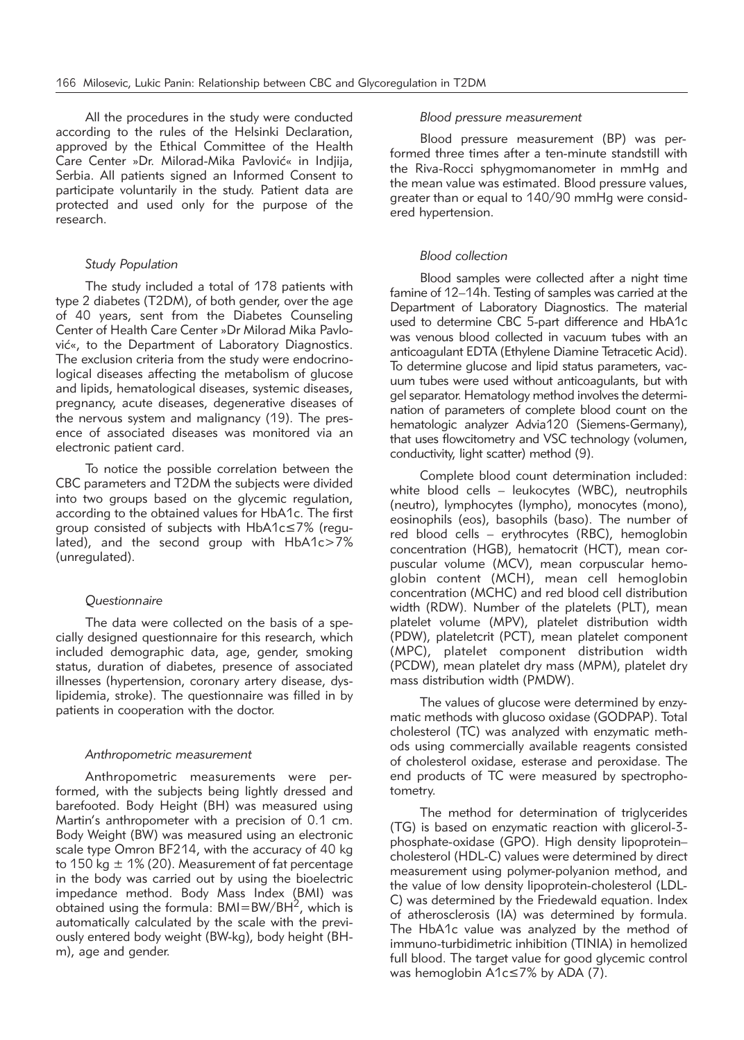All the procedures in the study were conducted according to the rules of the Helsinki Declaration, approved by the Ethical Committee of the Health Care Center »Dr. Milorad-Mika Pavlović« in Indjija, Serbia. All patients signed an Informed Consent to participate voluntarily in the study. Patient data are protected and used only for the purpose of the research.

# *Study Population*

The study included a total of 178 patients with type 2 diabetes (T2DM), of both gender, over the age of 40 years, sent from the Diabetes Counseling Center of Health Care Center »Dr Milorad Mika Pavlović«, to the Department of Laboratory Diagnostics. The exclusion criteria from the study were endocrinological diseases affecting the metabolism of glucose and lipids, hematological diseases, systemic diseases, pregnancy, acute diseases, degenerative diseases of the nervous system and malignancy (19). The presence of associated diseases was monitored via an electronic patient card.

To notice the possible correlation between the CBC parameters and T2DM the subjects were divided into two groups based on the glycemic regulation, according to the obtained values for HbA1c. The first group consisted of subjects with HbA1c≤7% (regulated), and the second group with HbA1c>7% (unregulated).

## *Questionnaire*

The data were collected on the basis of a specially designed questionnaire for this research, which included demographic data, age, gender, smoking status, duration of diabetes, presence of associated illnesses (hypertension, coronary artery disease, dyslipidemia, stroke). The questionnaire was filled in by patients in cooperation with the doctor.

#### *Anthropometric measurement*

Anthropometric measurements were performed, with the subjects being lightly dressed and barefooted. Body Height (BH) was measured using Martin's anthropometer with a precision of 0.1 cm. Body Weight (BW) was measured using an electronic scale type Omron BF214, with the accuracy of 40 kg to 150 kg  $\pm$  1% (20). Measurement of fat percentage in the body was carried out by using the bioelectric impedance method. Body Mass Index (BMI) was obtained using the formula:  $BMI=BW/BH^2$ , which is automatically calculated by the scale with the previously entered body weight (BW-kg), body height (BHm), age and gender.

#### *Blood pressure measurement*

Blood pressure measurement (BP) was performed three times after a ten-minute standstill with the Riva-Rocci sphygmomanometer in mmHg and the mean value was estimated. Blood pressure values, greater than or equal to 140/90 mmHg were considered hypertension.

#### *Blood collection*

Blood samples were collected after a night time famine of 12–14h. Testing of samples was carried at the Department of Laboratory Diagnostics. The material used to determine CBC 5-part difference and HbA1c was venous blood collected in vacuum tubes with an anticoagulant EDTA (Ethylene Diamine Tetracetic Acid). To determine glucose and lipid status parameters, vacuum tubes were used without anticoagulants, but with gel separator. Hematology method involves the determination of parameters of complete blood count on the hematologic analyzer Advia120 (Siemens-Germany), that uses flowcitometry and VSC technology (volumen, conductivity, light scatter) method (9).

Complete blood count determination included: white blood cells – leukocytes (WBC), neutrophils (neutro), lymphocytes (lympho), monocytes (mono), eosinophils (eos), basophils (baso). The number of red blood cells – erythrocytes (RBC), hemoglobin concentration (HGB), hematocrit (HCT), mean corpuscular volume (MCV), mean corpuscular hemoglobin content (MCH), mean cell hemoglobin concentration (MCHC) and red blood cell distribution width (RDW). Number of the platelets (PLT), mean platelet volume (MPV), platelet distribution width (PDW), plateletcrit (PCT), mean platelet component (MPC), platelet component distribution width (PCDW), mean platelet dry mass (MPM), platelet dry mass distribution width (PMDW).

The values of glucose were determined by enzymatic methods with glucoso oxidase (GODPAP). Total cholesterol (TC) was analyzed with enzymatic methods using commercially available reagents consisted of cholesterol oxidase, esterase and peroxidase. The end products of TC were measured by spectrophotometry.

The method for determination of triglycerides (TG) is based on enzymatic reaction with glicerol-3 phosphate-oxidase (GPO). High density lipoprotein– cholesterol (HDL-C) values were determined by direct measurement using polymer-polyanion method, and the value of low density lipoprotein-cholesterol (LDL-C) was determined by the Friedewald equation. Index of atherosclerosis (IA) was determined by formula. The HbA1c value was analyzed by the method of immuno-turbidimetric inhibition (TINIA) in hemolized full blood. The target value for good glycemic control was hemoglobin A1c≤7% by ADA (7).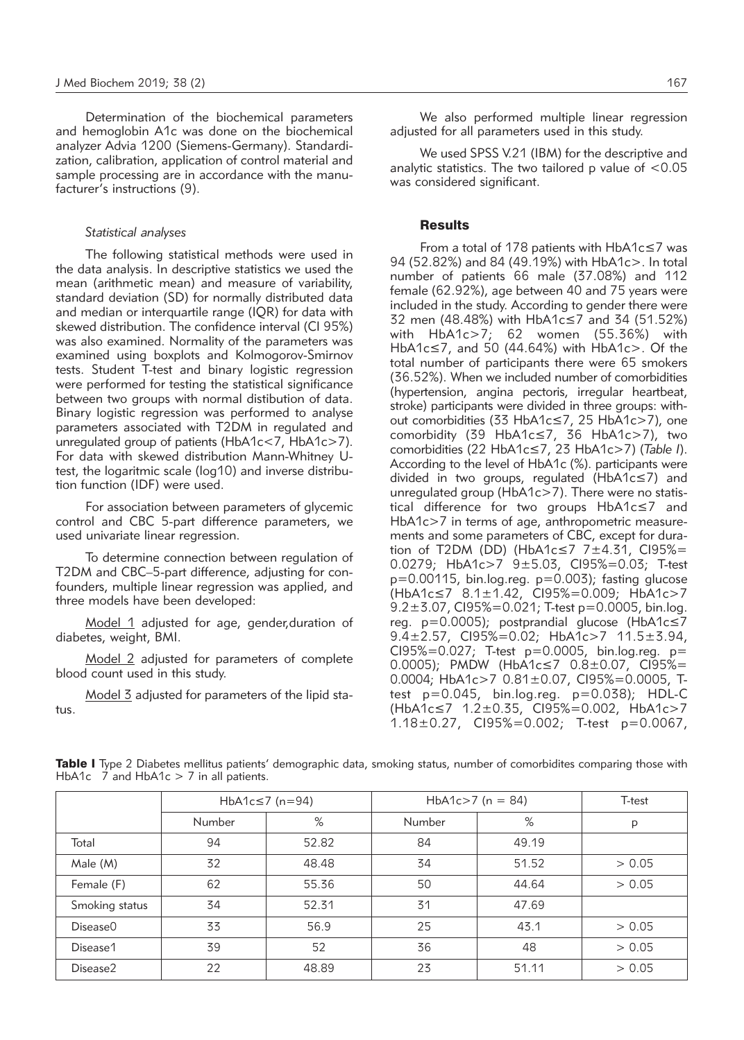Determination of the biochemical parameters and hemoglobin A1c was done on the biochemical analyzer Advia 1200 (Siemens-Germany). Standardization, calibration, application of control material and sample processing are in accordance with the manufacturer's instructions (9).

#### *Statistical analyses*

The following statistical methods were used in the data analysis. In descriptive statistics we used the mean (arithmetic mean) and measure of variability, standard deviation (SD) for normally distributed data and median or interquartile range (IOR) for data with skewed distribution. The confidence interval (CI 95%) was also examined. Normality of the parameters was examined using boxplots and Kolmogorov-Smirnov tests. Student T-test and binary logistic regression were performed for testing the statistical significance between two groups with normal distibution of data. Binary logistic regression was performed to analyse parameters associated with T2DM in regulated and unregulated group of patients (HbA1c<7, HbA1c>7). For data with skewed distribution Mann-Whitney Utest, the logaritmic scale (log10) and inverse distribution function (IDF) were used.

For association between parameters of glycemic control and CBC 5-part difference parameters, we used univariate linear regression.

To determine connection between regulation of T2DM and CBC–5-part difference, adjusting for confounders, multiple linear regression was applied, and three models have been developed:

Model 1 adjusted for age, gender,duration of diabetes, weight, BMI.

Model 2 adjusted for parameters of complete blood count used in this study.

Model 3 adjusted for parameters of the lipid status.

We also performed multiple linear regression adjusted for all parameters used in this study.

We used SPSS V.21 (IBM) for the descriptive and analytic statistics. The two tailored p value of  $< 0.05$ was considered significant.

# **Results**

From a total of 178 patients with HbA1c≤7 was 94 (52.82%) and 84 (49.19%) with HbA1c>. In total number of patients 66 male (37.08%) and 112 female (62.92%), age between 40 and 75 years were included in the study. According to gender there were 32 men (48.48%) with HbA1c≤7 and 34 (51.52%) with HbA1c>7; 62 women (55.36%) with HbA1c≤7, and 50 (44.64%) with HbA1c>. Of the total number of participants there were 65 smokers (36.52%). When we included number of comorbidities (hypertension, angina pectoris, irregular heartbeat, stroke) participants were divided in three groups: without comorbidities (33 HbA1c≤7, 25 HbA1c>7), one comorbidity (39 HbA1c≤7, 36 HbA1c>7), two comorbidities (22 HbA1c≤7, 23 HbA1c>7) (*Table I*). According to the level of HbA1c (%). participants were divided in two groups, regulated (HbA1c≤7) and unregulated group (HbA1c>7). There were no statistical difference for two groups HbA1c≤7 and HbA1c>7 in terms of age, anthropometric measurements and some parameters of CBC, except for duration of T2DM (DD) (HbA1c $\leq$ 7 7 $\pm$ 4.31, Cl95%= 0.0279; HbA1c>7 9±5.03, CI95%=0.03; T-test p=0.00115, bin.log.reg. p=0.003); fasting glucose (HbA1c≤7 8.1±1.42, CI95%=0.009; HbA1c>7  $9.2 \pm 3.07$ , CI95%=0.021; T-test p=0.0005, bin.log. reg. p=0.0005); postprandial glucose (HbA1c≤7 9.4±2.57, CI95%=0.02; HbA1c>7 11.5±3.94, CI95%=0.027; T-test p=0.0005, bin.log.reg. p= 0.0005); PMDW (HbA1c≤7 0.8±0.07, CI95%= 0.0004; HbA1c>7 0.81±0.07, CI95%=0.0005, Ttest p=0.045, bin.log.reg. p=0.038); HDL-C (HbA1c≤7 1.2±0.35, CI95%=0.002, HbA1c>7 1.18±0.27, CI95%=0.002; T-test p=0.0067,

Table I Type 2 Diabetes mellitus patients' demographic data, smoking status, number of comorbidites comparing those with HbA1c 7 and HbA1c > 7 in all patients.

|                |        | HbA1c $\leq$ 7 (n=94) | HbA1c>7 ( $n = 84$ ) | T-test |        |
|----------------|--------|-----------------------|----------------------|--------|--------|
|                | Number | %                     | Number               | %      | P      |
| Total          | 94     | 52.82                 | 84                   | 49.19  |        |
| Male (M)       | 32     | 48.48                 | 34                   | 51.52  | > 0.05 |
| Female (F)     | 62     | 55.36                 | 50                   | 44.64  | > 0.05 |
| Smoking status | 34     | 52.31                 | 31                   | 47.69  |        |
| Disease0       | 33     | 56.9                  | 25                   | 43.1   | > 0.05 |
| Disease1       | 39     | 52                    | 36                   | 48     | > 0.05 |
| Disease2       | 22     | 48.89                 | 23                   | 51.11  | > 0.05 |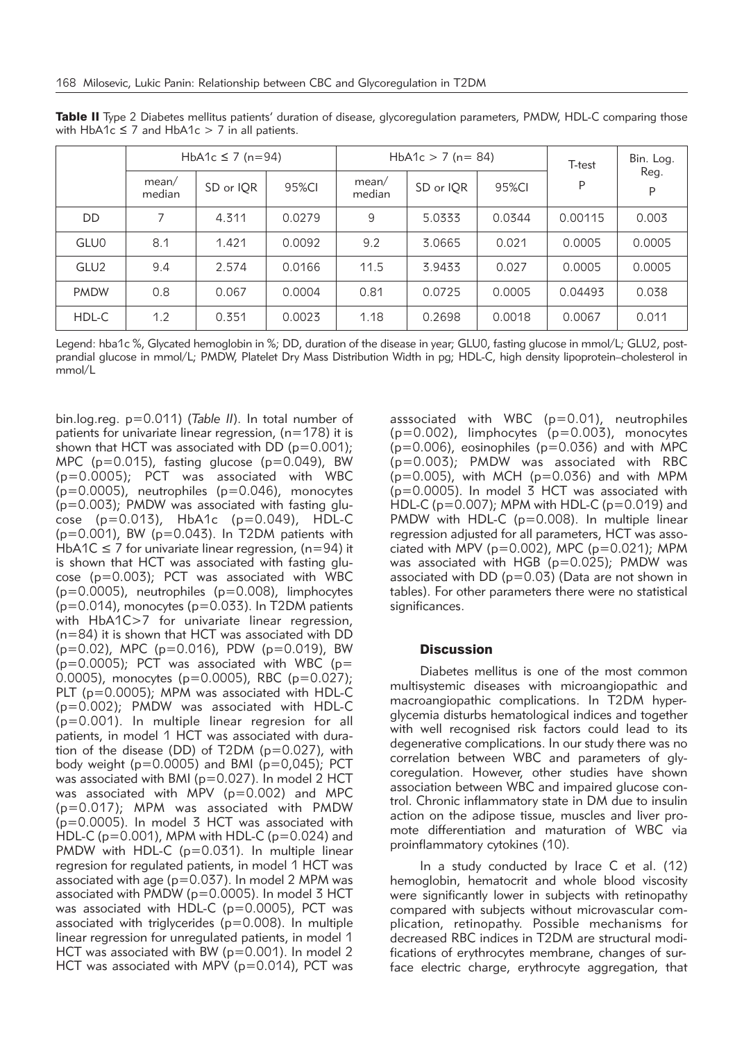|                  | HbA1c $\leq$ 7 (n=94) |           |        | HbA1c $>$ 7 (n = 84) |           |        | T-test  | Bin. Log. |
|------------------|-----------------------|-----------|--------|----------------------|-----------|--------|---------|-----------|
|                  | mean/<br>median       | SD or IQR | 95%CI  | mean/<br>median      | SD or IQR | 95%CI  | P       | Reg.<br>P |
| DD               | 7                     | 4.311     | 0.0279 | 9                    | 5.0333    | 0.0344 | 0.00115 | 0.003     |
| <b>GLU0</b>      | 8.1                   | 1.421     | 0.0092 | 9.2                  | 3.0665    | 0.021  | 0.0005  | 0.0005    |
| GLU <sub>2</sub> | 9.4                   | 2.574     | 0.0166 | 11.5                 | 3.9433    | 0.027  | 0.0005  | 0.0005    |
| <b>PMDW</b>      | 0.8                   | 0.067     | 0.0004 | 0.81                 | 0.0725    | 0.0005 | 0.04493 | 0.038     |
| HDL-C            | 1.2                   | 0.351     | 0.0023 | 1.18                 | 0.2698    | 0.0018 | 0.0067  | 0.011     |

Table II Type 2 Diabetes mellitus patients' duration of disease, glycoregulation parameters, PMDW, HDL-C comparing those with HbA1c  $\leq$  7 and HbA1c  $>$  7 in all patients.

Legend: hba1c %, Glycated hemoglobin in %; DD, duration of the disease in year; GLU0, fasting glucose in mmol/L; GLU2, postprandial glucose in mmol/L; PMDW, Platelet Dry Mass Distribution Width in pg; HDL-C, high density lipoprotein–cholesterol in mmol/L

bin.log.reg. p=0.011) (*Table II*). In total number of patients for univariate linear regression, (n=178) it is shown that HCT was associated with DD ( $p=0.001$ ); MPC ( $p=0.015$ ), fasting glucose ( $p=0.049$ ), BW (p=0.0005); PCT was associated with WBC (p=0.0005), neutrophiles (p=0.046), monocytes  $(p=0.003)$ ; PMDW was associated with fasting glu- $\cos e$  (p=0.013), HbA1c (p=0.049), HDL-C  $(p=0.001)$ , BW  $(p=0.043)$ . In T2DM patients with HbA1C  $\leq$  7 for univariate linear regression, (n=94) it is shown that HCT was associated with fasting glucose (p=0.003); PCT was associated with WBC (p=0.0005), neutrophiles (p=0.008), limphocytes  $(p=0.014)$ , monocytes ( $p=0.033$ ). In T2DM patients with HbA1C>7 for univariate linear regression, (n=84) it is shown that HCT was associated with DD (p=0.02), MPC (p=0.016), PDW (p=0.019), BW  $(p=0.0005)$ ; PCT was associated with WBC (p= 0.0005), monocytes (p=0.0005), RBC (p=0.027); PLT (p=0.0005); MPM was associated with HDL-C (p=0.002); PMDW was associated with HDL-C (p=0.001). In multiple linear regresion for all patients, in model 1 HCT was associated with duration of the disease (DD) of T2DM (p=0.027), with body weight ( $p=0.0005$ ) and BMI ( $p=0.045$ ); PCT was associated with BMI (p=0.027). In model 2 HCT was associated with MPV (p=0.002) and MPC (p=0.017); MPM was associated with PMDW (p=0.0005). In model 3 HCT was associated with HDL-C ( $p=0.001$ ), MPM with HDL-C ( $p=0.024$ ) and PMDW with HDL-C (p=0.031). In multiple linear regresion for regulated patients, in model 1 HCT was associated with age (p=0.037). In model 2 MPM was associated with PMDW (p=0.0005). In model 3 HCT was associated with HDL-C (p=0.0005), PCT was associated with triglycerides (p=0.008). In multiple linear regression for unregulated patients, in model 1 HCT was associated with BW (p=0.001). In model 2 HCT was associated with MPV ( $p=0.014$ ), PCT was asssociated with WBC (p=0.01), neutrophiles  $(p=0.002)$ , limphocytes  $(p=0.003)$ , monocytes  $(p=0.006)$ , eosinophiles  $(p=0.036)$  and with MPC (p=0.003); PMDW was associated with RBC  $(p=0.005)$ , with MCH ( $p=0.036$ ) and with MPM (p=0.0005). In model 3 HCT was associated with HDL-C (p=0.007); MPM with HDL-C (p=0.019) and PMDW with HDL-C (p=0.008). In multiple linear regression adjusted for all parameters, HCT was associated with MPV ( $p=0.002$ ), MPC ( $p=0.021$ ); MPM was associated with HGB (p=0.025); PMDW was associated with DD (p=0.03) (Data are not shown in tables). For other parameters there were no statistical significances.

# **Discussion**

Diabetes mellitus is one of the most common multisystemic diseases with microangiopathic and macroangiopathic complications. In T2DM hyperglycemia disturbs hematological indices and together with well recognised risk factors could lead to its degenerative complications. In our study there was no correlation between WBC and parameters of glycoregulation. However, other studies have shown association between WBC and impaired glucose control. Chronic inflammatory state in DM due to insulin action on the adipose tissue, muscles and liver promote differentiation and maturation of WBC via proinflammatory cytokines (10).

In a study conducted by Irace C et al. (12) hemoglobin, hematocrit and whole blood viscosity were significantly lower in subjects with retinopathy compared with subjects without microvascular complication, retinopathy. Possible mechanisms for decreased RBC indices in T2DM are structural modifications of erythrocytes membrane, changes of surface electric charge, erythrocyte aggregation, that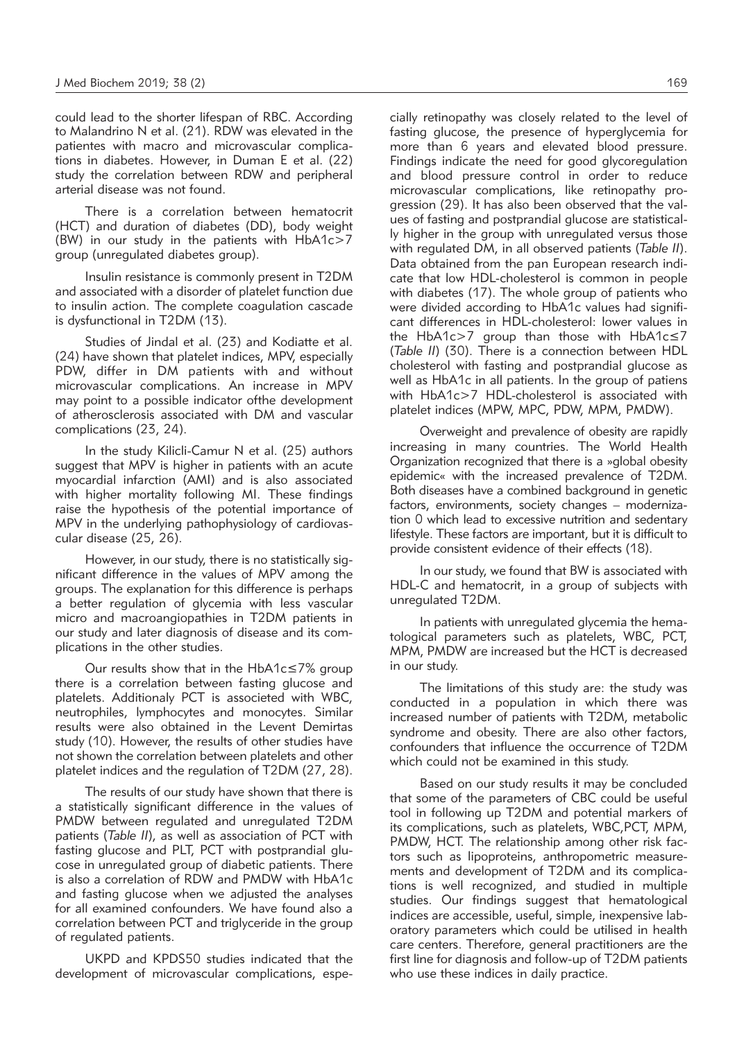could lead to the shorter lifespan of RBC. According to Malandrino N et al. (21). RDW was elevated in the patientes with macro and microvascular complications in diabetes. However, in Duman E et al. (22) study the correlation between RDW and peripheral arterial disease was not found.

There is a correlation between hematocrit (HCT) and duration of diabetes (DD), body weight (BW) in our study in the patients with HbA1c>7 group (unregulated diabetes group).

Insulin resistance is commonly present in T2DM and associated with a disorder of platelet function due to insulin action. The complete coagulation cascade is dysfunctional in T2DM (13).

Studies of Jindal et al. (23) and Kodiatte et al. (24) have shown that platelet indices, MPV, especially PDW, differ in DM patients with and without microvascular complications. An increase in MPV may point to a possible indicator ofthe development of atherosclerosis associated with DM and vascular complications (23, 24).

In the study Kilicli-Camur N et al. (25) authors suggest that MPV is higher in patients with an acute myocardial infarction (AMI) and is also associated with higher mortality following MI. These findings raise the hypothesis of the potential importance of MPV in the underlying pathophysiology of cardiovascular disease (25, 26).

However, in our study, there is no statistically significant difference in the values of MPV among the groups. The explanation for this difference is perhaps a better regulation of glycemia with less vascular micro and macroangiopathies in T2DM patients in our study and later diagnosis of disease and its complications in the other studies.

Our results show that in the HbA1c≤7% group there is a correlation between fasting glucose and platelets. Additionaly PCT is associeted with WBC, neutrophiles, lymphocytes and monocytes. Similar results were also obtained in the Levent Demirtas study (10). However, the results of other studies have not shown the correlation between platelets and other platelet indices and the regulation of T2DM (27, 28).

The results of our study have shown that there is a statistically significant difference in the values of PMDW between regulated and unregulated T2DM patients (*Table II*), as well as association of PCT with fasting glucose and PLT, PCT with postprandial glucose in unregulated group of diabetic patients. There is also a correlation of RDW and PMDW with HbA1c and fasting glucose when we adjusted the analyses for all examined confounders. We have found also a correlation between PCT and triglyceride in the group of regulated patients.

UKPD and KPDS50 studies indicated that the development of microvascular complications, especially retinopathy was closely related to the level of fasting glucose, the presence of hyperglycemia for more than 6 years and elevated blood pressure. Findings indicate the need for good glycoregulation and blood pressure control in order to reduce microvascular complications, like retinopathy progression (29). It has also been observed that the values of fasting and postprandial glucose are statistically higher in the group with unregulated versus those with regulated DM, in all observed patients (*Table II*). Data obtained from the pan European research indicate that low HDL-cholesterol is common in people with diabetes (17). The whole group of patients who were divided according to HbA1c values had significant differences in HDL-cholesterol: lower values in the HbA1c>7 group than those with HbA1c≤7 (*Table II*) (30). There is a connection between HDL cholesterol with fasting and postprandial glucose as well as HbA1c in all patients. In the group of patiens with HbA1c>7 HDL-cholesterol is associated with platelet indices (MPW, MPC, PDW, MPM, PMDW).

Overweight and prevalence of obesity are rapidly increasing in many countries. The World Health Organization recognized that there is a »global obesity epidemic« with the increased prevalence of T2DM. Both diseases have a combined background in genetic factors, environments, society changes – modernization 0 which lead to excessive nutrition and sedentary lifestyle. These factors are important, but it is difficult to provide consistent evidence of their effects (18).

In our study, we found that BW is associated with HDL-C and hematocrit, in a group of subjects with unregulated T2DM.

In patients with unregulated glycemia the hematological parameters such as platelets, WBC, PCT, MPM, PMDW are increased but the HCT is decreased in our study.

The limitations of this study are: the study was conducted in a population in which there was increased number of patients with T2DM, metabolic syndrome and obesity. There are also other factors, confounders that influence the occurrence of T2DM which could not be examined in this study.

Based on our study results it may be concluded that some of the parameters of CBC could be useful tool in following up T2DM and potential markers of its complications, such as platelets, WBC,PCT, MPM, PMDW, HCT. The relationship among other risk factors such as lipoproteins, anthropometric measurements and development of T2DM and its complications is well recognized, and studied in multiple studies. Our findings suggest that hematological indices are accessible, useful, simple, inexpensive laboratory parameters which could be utilised in health care centers. Therefore, general practitioners are the first line for diagnosis and follow-up of T2DM patients who use these indices in daily practice.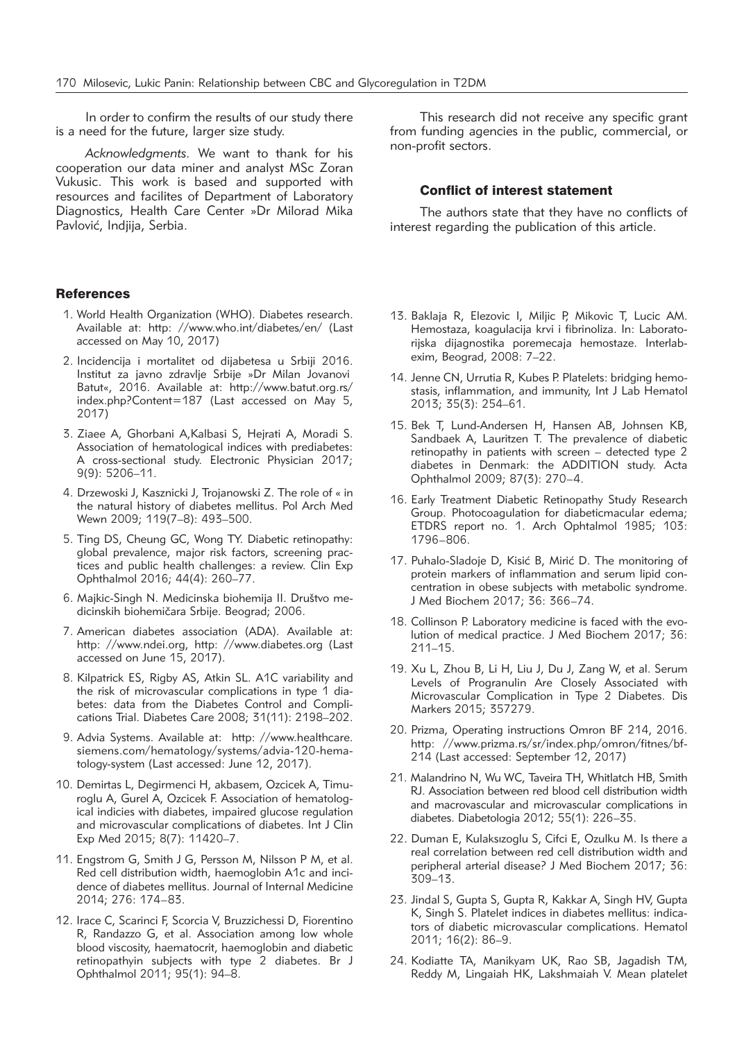In order to confirm the results of our study there is a need for the future, larger size study.

*Acknowledgments.* We want to thank for his cooperation our data miner and analyst MSc Zoran Vukusic. This work is based and supported with resources and facilites of Department of Laboratory Diagnostics, Health Care Center »Dr Milorad Mika Pavlović, Indiija, Serbia.

#### **References**

- 1. World Health Organization (WHO). Diabetes research. Available at: http: //www.who.int/diabetes/en/ (Last accessed on May 10, 2017)
- 2. Incidencija i mortalitet od dijabetesa u Srbiji 2016. Institut za javno zdravlje Srbije »Dr Milan Jovanovi Batut«, 2016. Available at: http://www.batut.org.rs/ index.php?Content=187 (Last accessed on May 5, 2017)
- 3. Ziaee A, Ghorbani A,Kalbasi S, Hejrati A, Moradi S. Association of hematological indices with prediabetes: A cross-sectional study. Electronic Physician 2017; 9(9): 5206–11.
- 4. Drzewoski J, Kasznicki J, Trojanowski Z. The role of « in the natural history of diabetes mellitus. Pol Arch Med Wewn 2009; 119(7–8): 493–500.
- 5. Ting DS, Cheung GC, Wong TY. Diabetic retinopathy: global prevalence, major risk factors, screening practices and public health challenges: a review. Clin Exp Ophthalmol 2016; 44(4): 260–77.
- 6. Majkic-Singh N. Medicinska biohemija II. Društvo medicinskih biohemičara Srbije. Beograd; 2006.
- 7. American diabetes association (ADA). Available at: http: //www.ndei.org, http: //www.diabetes.org (Last accessed on June 15, 2017).
- 8. Kilpatrick ES, Rigby AS, Atkin SL. A1C variability and the risk of microvascular complications in type 1 diabetes: data from the Diabetes Control and Complications Trial. Diabetes Care 2008; 31(11): 2198–202.
- 9. Advia Systems. Available at: http: //www.healthcare. siemens.com/hematology/systems/advia-120-hematology-system (Last accessed: June 12, 2017).
- 10. Demirtas L, Degirmenci H, akbasem, Ozcicek A, Timu roglu A, Gurel A, Ozcicek F. Association of hematological indicies with diabetes, impaired glucose regulation and microvascular complications of diabetes. Int J Clin Exp Med 2015; 8(7): 11420–7.
- 11. Engstrom G, Smith J G, Persson M, Nilsson P M, et al. Red cell distribution width, haemoglobin A1c and incidence of diabetes mellitus. Journal of Internal Medicine 2014; 276: 174–83.
- 12. Irace C, Scarinci F, Scorcia V, Bruzzichessi D, Fiorentino R, Randazzo G, et al. Association among low whole blood viscosity, haematocrit, haemoglobin and diabetic retinopathyin subjects with type 2 diabetes. Br J Ophthalmol 2011; 95(1): 94-8.

This research did not receive any specific grant from funding agencies in the public, commercial, or non-profit sectors.

# Conflict of interest statement

The authors state that they have no conflicts of interest regarding the publication of this article.

- 13. Baklaja R, Elezovic I, Miljic P, Mikovic T, Lucic AM. Hemostaza, koagulacija krvi i fibrinoliza. In: Laboratorijska dijagnostika poremecaja hemostaze. Interlabexim, Beograd, 2008: 7–22.
- 14. Jenne CN, Urrutia R, Kubes P. Platelets: bridging hemostasis, inflammation, and immunity, Int J Lab Hematol 2013; 35(3): 254–61.
- 15. Bek T, Lund-Andersen H, Hansen AB, Johnsen KB, Sandbaek A, Lauritzen T. The prevalence of diabetic retinopathy in patients with screen – detected type 2 diabetes in Denmark: the ADDITION study. Acta Ophthalmol 2009; 87(3): 270-4.
- 16. Early Treatment Diabetic Retinopathy Study Research Group. Photocoagulation for diabeticmacular edema; ETDRS report no. 1. Arch Ophtalmol 1985; 103: 1796–806.
- 17. Puhalo-Sladoje D, Kisić B, Mirić D. The monitoring of protein markers of inflammation and serum lipid concentration in obese subjects with metabolic syndrome. J Med Biochem 2017; 36: 366–74.
- 18. Collinson P. Laboratory medicine is faced with the evolution of medical practice. J Med Biochem 2017; 36: 211–15.
- 19. Xu L, Zhou B, Li H, Liu J, Du J, Zang W, et al. Serum Levels of Progranulin Are Closely Associated with Microvascular Complication in Type 2 Diabetes. Dis Markers 2015; 357279.
- 20. Prizma, Operating instructions Omron BF 214, 2016. http: //www.prizma.rs/sr/index.php/omron/fitnes/bf-214 (Last accessed: September 12, 2017)
- 21. Malandrino N, Wu WC, Taveira TH, Whitlatch HB, Smith RJ. Association between red blood cell distribution width and macrovascular and microvascular complications in diabetes. Diabetologia 2012; 55(1): 226–35.
- 22. Duman E, Kulaksızoglu S, Cifci E, Ozulku M. Is there a real correlation between red cell distribution width and peripheral arterial disease? J Med Biochem 2017; 36: 309–13.
- 23. Jindal S, Gupta S, Gupta R, Kakkar A, Singh HV, Gupta K, Singh S. Platelet indices in diabetes mellitus: indicators of diabetic microvascular complications. Hematol 2011; 16(2): 86–9.
- 24. Kodiatte TA, Manikyam UK, Rao SB, Jagadish TM, Reddy M, Lingaiah HK, Lakshmaiah V. Mean platelet